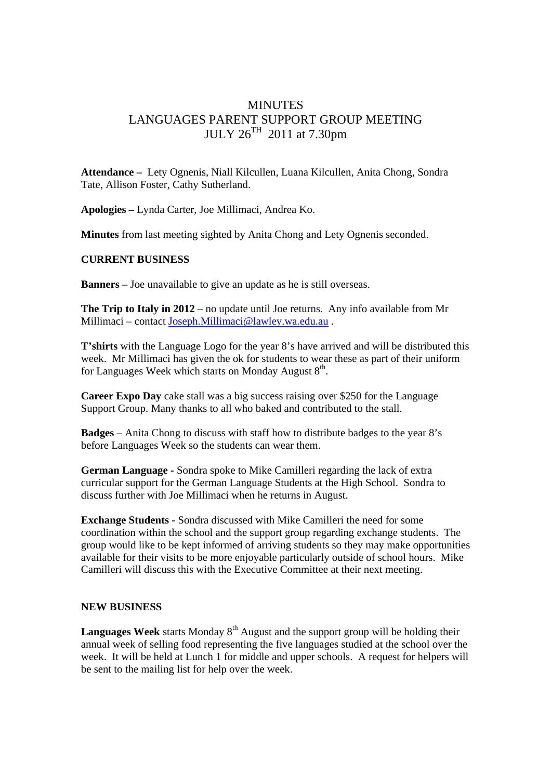## MINUTES LANGUAGES PARENT SUPPORT GROUP MEETING  $JULY 26<sup>TH</sup> 2011$  at 7.30pm

**Attendance –** Lety Ognenis, Niall Kilcullen, Luana Kilcullen, Anita Chong, Sondra Tate, Allison Foster, Cathy Sutherland.

**Apologies –** Lynda Carter, Joe Millimaci, Andrea Ko.

**Minutes** from last meeting sighted by Anita Chong and Lety Ognenis seconded.

## **CURRENT BUSINESS**

**Banners** – Joe unavailable to give an update as he is still overseas.

**The Trip to Italy in 2012** – no update until Joe returns. Any info available from Mr Millimaci – contact Joseph.Millimaci@lawley.wa.edu.au .

**T'shirts** with the Language Logo for the year 8's have arrived and will be distributed this week. Mr Millimaci has given the ok for students to wear these as part of their uniform for Languages Week which starts on Monday August  $8<sup>th</sup>$ .

**Career Expo Day** cake stall was a big success raising over \$250 for the Language Support Group. Many thanks to all who baked and contributed to the stall.

**Badges** – Anita Chong to discuss with staff how to distribute badges to the year 8's before Languages Week so the students can wear them.

**German Language -** Sondra spoke to Mike Camilleri regarding the lack of extra curricular support for the German Language Students at the High School. Sondra to discuss further with Joe Millimaci when he returns in August.

**Exchange Students -** Sondra discussed with Mike Camilleri the need for some coordination within the school and the support group regarding exchange students. The group would like to be kept informed of arriving students so they may make opportunities available for their visits to be more enjoyable particularly outside of school hours. Mike Camilleri will discuss this with the Executive Committee at their next meeting.

## **NEW BUSINESS**

**Languages Week** starts Monday 8<sup>th</sup> August and the support group will be holding their annual week of selling food representing the five languages studied at the school over the week. It will be held at Lunch 1 for middle and upper schools. A request for helpers will be sent to the mailing list for help over the week.